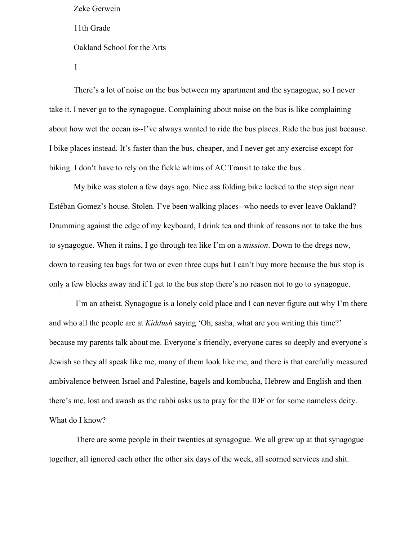There's a lot of noise on the bus between my apartment and the synagogue, so I never take it. I never go to the synagogue. Complaining about noise on the bus is like complaining about how wet the ocean is--I've always wanted to ride the bus places. Ride the bus just because. I bike places instead. It's faster than the bus, cheaper, and I never get any exercise except for biking. I don't have to rely on the fickle whims of AC Transit to take the bus..

My bike was stolen a few days ago. Nice ass folding bike locked to the stop sign near Estéban Gomez's house. Stolen. I've been walking places--who needs to ever leave Oakland? Drumming against the edge of my keyboard, I drink tea and think of reasons not to take the bus to synagogue. When it rains, I go through tea like I'm on a *mission*. Down to the dregs now, down to reusing tea bags for two or even three cups but I can't buy more because the bus stop is only a few blocks away and if I get to the bus stop there's no reason not to go to synagogue.

 I'm an atheist. Synagogue is a lonely cold place and I can never figure out why I'm there and who all the people are at *Kiddush* saying 'Oh, sasha, what are you writing this time?' because my parents talk about me. Everyone's friendly, everyone cares so deeply and everyone's Jewish so they all speak like me, many of them look like me, and there is that carefully measured ambivalence between Israel and Palestine, bagels and kombucha, Hebrew and English and then there's me, lost and awash as the rabbi asks us to pray for the IDF or for some nameless deity. What do I know?

 There are some people in their twenties at synagogue. We all grew up at that synagogue together, all ignored each other the other six days of the week, all scorned services and shit.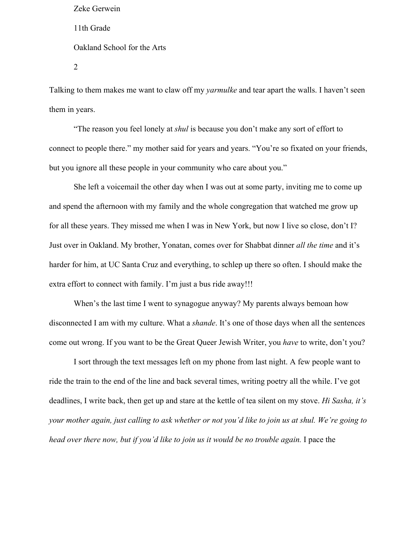Talking to them makes me want to claw off my *yarmulke* and tear apart the walls. I haven't seen them in years.

"The reason you feel lonely at *shul* is because you don't make any sort of effort to connect to people there." my mother said for years and years. "You're so fixated on your friends, but you ignore all these people in your community who care about you."

She left a voicemail the other day when I was out at some party, inviting me to come up and spend the afternoon with my family and the whole congregation that watched me grow up for all these years. They missed me when I was in New York, but now I live so close, don't I? Just over in Oakland. My brother, Yonatan, comes over for Shabbat dinner *all the time* and it's harder for him, at UC Santa Cruz and everything, to schlep up there so often. I should make the extra effort to connect with family. I'm just a bus ride away!!!

When's the last time I went to synagogue anyway? My parents always bemoan how disconnected I am with my culture. What a *shande*. It's one of those days when all the sentences come out wrong. If you want to be the Great Queer Jewish Writer, you *have* to write, don't you?

I sort through the text messages left on my phone from last night. A few people want to ride the train to the end of the line and back several times, writing poetry all the while. I've got deadlines, I write back, then get up and stare at the kettle of tea silent on my stove. *Hi Sasha, it's your mother again, just calling to ask whether or not you'd like to join us at shul. We're going to head over there now, but if you'd like to join us it would be no trouble again.* I pace the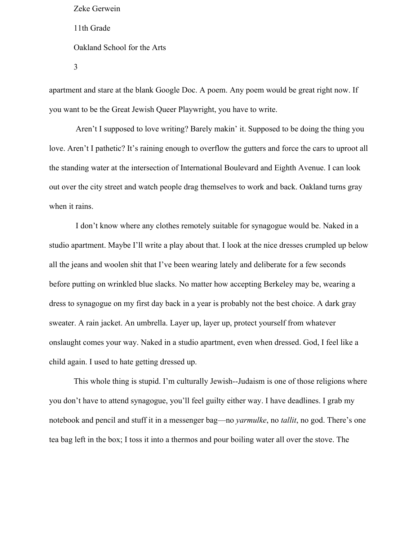apartment and stare at the blank Google Doc. A poem. Any poem would be great right now. If you want to be the Great Jewish Queer Playwright, you have to write.

 Aren't I supposed to love writing? Barely makin' it. Supposed to be doing the thing you love. Aren't I pathetic? It's raining enough to overflow the gutters and force the cars to uproot all the standing water at the intersection of International Boulevard and Eighth Avenue. I can look out over the city street and watch people drag themselves to work and back. Oakland turns gray when it rains.

 I don't know where any clothes remotely suitable for synagogue would be. Naked in a studio apartment. Maybe I'll write a play about that. I look at the nice dresses crumpled up below all the jeans and woolen shit that I've been wearing lately and deliberate for a few seconds before putting on wrinkled blue slacks. No matter how accepting Berkeley may be, wearing a dress to synagogue on my first day back in a year is probably not the best choice. A dark gray sweater. A rain jacket. An umbrella. Layer up, layer up, protect yourself from whatever onslaught comes your way. Naked in a studio apartment, even when dressed. God, I feel like a child again. I used to hate getting dressed up.

This whole thing is stupid. I'm culturally Jewish--Judaism is one of those religions where you don't have to attend synagogue, you'll feel guilty either way. I have deadlines. I grab my notebook and pencil and stuff it in a messenger bag—no *yarmulke*, no *tallit*, no god. There's one tea bag left in the box; I toss it into a thermos and pour boiling water all over the stove. The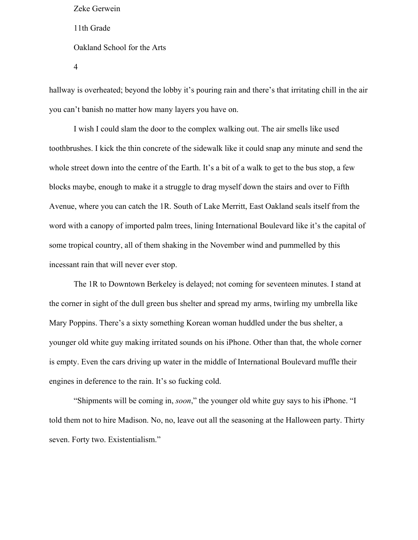hallway is overheated; beyond the lobby it's pouring rain and there's that irritating chill in the air you can't banish no matter how many layers you have on.

I wish I could slam the door to the complex walking out. The air smells like used toothbrushes. I kick the thin concrete of the sidewalk like it could snap any minute and send the whole street down into the centre of the Earth. It's a bit of a walk to get to the bus stop, a few blocks maybe, enough to make it a struggle to drag myself down the stairs and over to Fifth Avenue, where you can catch the 1R. South of Lake Merritt, East Oakland seals itself from the word with a canopy of imported palm trees, lining International Boulevard like it's the capital of some tropical country, all of them shaking in the November wind and pummelled by this incessant rain that will never ever stop.

The 1R to Downtown Berkeley is delayed; not coming for seventeen minutes. I stand at the corner in sight of the dull green bus shelter and spread my arms, twirling my umbrella like Mary Poppins. There's a sixty something Korean woman huddled under the bus shelter, a younger old white guy making irritated sounds on his iPhone. Other than that, the whole corner is empty. Even the cars driving up water in the middle of International Boulevard muffle their engines in deference to the rain. It's so fucking cold.

"Shipments will be coming in, *soon*," the younger old white guy says to his iPhone. "I told them not to hire Madison. No, no, leave out all the seasoning at the Halloween party. Thirty seven. Forty two. Existentialism."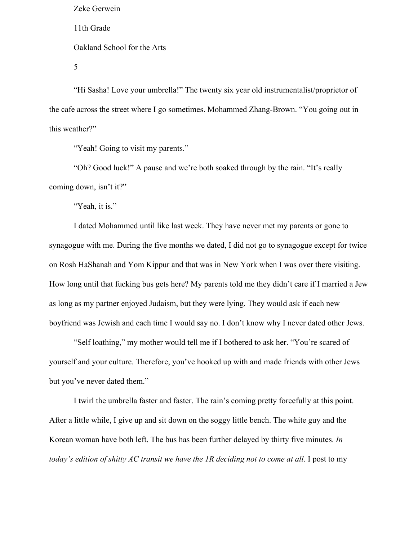"Hi Sasha! Love your umbrella!" The twenty six year old instrumentalist/proprietor of the cafe across the street where I go sometimes. Mohammed Zhang-Brown. "You going out in this weather?"

"Yeah! Going to visit my parents."

"Oh? Good luck!" A pause and we're both soaked through by the rain. "It's really coming down, isn't it?"

"Yeah, it is."

I dated Mohammed until like last week. They have never met my parents or gone to synagogue with me. During the five months we dated, I did not go to synagogue except for twice on Rosh HaShanah and Yom Kippur and that was in New York when I was over there visiting. How long until that fucking bus gets here? My parents told me they didn't care if I married a Jew as long as my partner enjoyed Judaism, but they were lying. They would ask if each new boyfriend was Jewish and each time I would say no. I don't know why I never dated other Jews.

"Self loathing," my mother would tell me if I bothered to ask her. "You're scared of yourself and your culture. Therefore, you've hooked up with and made friends with other Jews but you've never dated them."

I twirl the umbrella faster and faster. The rain's coming pretty forcefully at this point. After a little while, I give up and sit down on the soggy little bench. The white guy and the Korean woman have both left. The bus has been further delayed by thirty five minutes. *In today's edition of shitty AC transit we have the 1R deciding not to come at all*. I post to my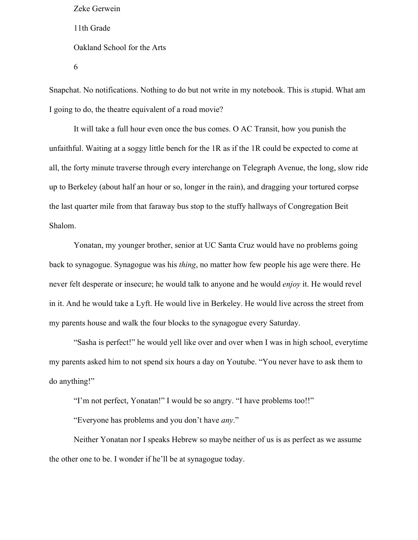Snapchat. No notifications. Nothing to do but not write in my notebook. This is *s*tupid. What am I going to do, the theatre equivalent of a road movie?

It will take a full hour even once the bus comes. O AC Transit, how you punish the unfaithful. Waiting at a soggy little bench for the 1R as if the 1R could be expected to come at all, the forty minute traverse through every interchange on Telegraph Avenue, the long, slow ride up to Berkeley (about half an hour or so, longer in the rain), and dragging your tortured corpse the last quarter mile from that faraway bus stop to the stuffy hallways of Congregation Beit Shalom.

Yonatan, my younger brother, senior at UC Santa Cruz would have no problems going back to synagogue. Synagogue was his *thing*, no matter how few people his age were there. He never felt desperate or insecure; he would talk to anyone and he would *enjoy* it. He would revel in it. And he would take a Lyft. He would live in Berkeley. He would live across the street from my parents house and walk the four blocks to the synagogue every Saturday.

"Sasha is perfect!" he would yell like over and over when I was in high school, everytime my parents asked him to not spend six hours a day on Youtube. "You never have to ask them to do anything!"

"I'm not perfect, Yonatan!" I would be so angry. "I have problems too!!"

"Everyone has problems and you don't have *any*."

Neither Yonatan nor I speaks Hebrew so maybe neither of us is as perfect as we assume the other one to be. I wonder if he'll be at synagogue today.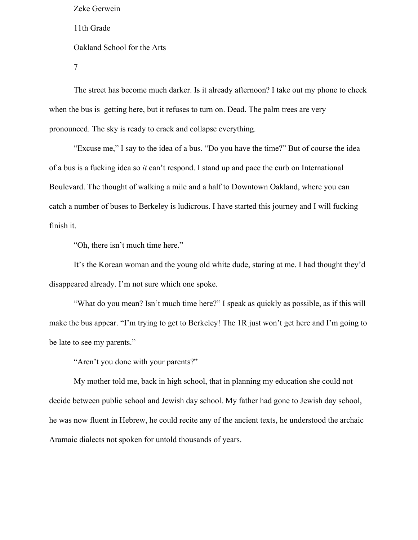The street has become much darker. Is it already afternoon? I take out my phone to check when the bus is getting here, but it refuses to turn on. Dead. The palm trees are very pronounced. The sky is ready to crack and collapse everything.

"Excuse me," I say to the idea of a bus. "Do you have the time?" But of course the idea of a bus is a fucking idea so *it* can't respond. I stand up and pace the curb on International Boulevard. The thought of walking a mile and a half to Downtown Oakland, where you can catch a number of buses to Berkeley is ludicrous. I have started this journey and I will fucking finish it.

"Oh, there isn't much time here."

It's the Korean woman and the young old white dude, staring at me. I had thought they'd disappeared already. I'm not sure which one spoke.

"What do you mean? Isn't much time here?" I speak as quickly as possible, as if this will make the bus appear. "I'm trying to get to Berkeley! The 1R just won't get here and I'm going to be late to see my parents."

"Aren't you done with your parents?"

My mother told me, back in high school, that in planning my education she could not decide between public school and Jewish day school. My father had gone to Jewish day school, he was now fluent in Hebrew, he could recite any of the ancient texts, he understood the archaic Aramaic dialects not spoken for untold thousands of years.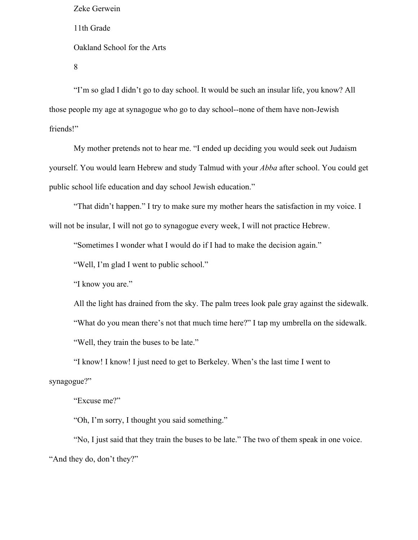"I'm so glad I didn't go to day school. It would be such an insular life, you know? All those people my age at synagogue who go to day school--none of them have non-Jewish friends!"

My mother pretends not to hear me. "I ended up deciding you would seek out Judaism yourself. You would learn Hebrew and study Talmud with your *Abba* after school. You could get public school life education and day school Jewish education."

"That didn't happen." I try to make sure my mother hears the satisfaction in my voice. I will not be insular, I will not go to synagogue every week. I will not practice Hebrew.

"Sometimes I wonder what I would do if I had to make the decision again."

"Well, I'm glad I went to public school."

"I know you are."

All the light has drained from the sky. The palm trees look pale gray against the sidewalk. "What do you mean there's not that much time here?" I tap my umbrella on the sidewalk. "Well, they train the buses to be late."

"I know! I know! I just need to get to Berkeley. When's the last time I went to synagogue?"

"Excuse me?"

"Oh, I'm sorry, I thought you said something."

"No, I just said that they train the buses to be late." The two of them speak in one voice. "And they do, don't they?"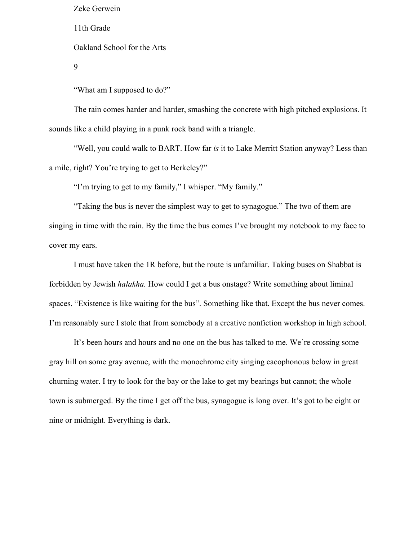Zeke Gerwein

11th Grade

Oakland School for the Arts

9

"What am I supposed to do?"

The rain comes harder and harder, smashing the concrete with high pitched explosions. It sounds like a child playing in a punk rock band with a triangle.

"Well, you could walk to BART. How far *is* it to Lake Merritt Station anyway? Less than a mile, right? You're trying to get to Berkeley?"

"I'm trying to get to my family," I whisper. "My family."

"Taking the bus is never the simplest way to get to synagogue." The two of them are singing in time with the rain. By the time the bus comes I've brought my notebook to my face to cover my ears.

I must have taken the 1R before, but the route is unfamiliar. Taking buses on Shabbat is forbidden by Jewish *halakha.* How could I get a bus onstage? Write something about liminal spaces. "Existence is like waiting for the bus". Something like that. Except the bus never comes. I'm reasonably sure I stole that from somebody at a creative nonfiction workshop in high school.

It's been hours and hours and no one on the bus has talked to me. We're crossing some gray hill on some gray avenue, with the monochrome city singing cacophonous below in great churning water. I try to look for the bay or the lake to get my bearings but cannot; the whole town is submerged. By the time I get off the bus, synagogue is long over. It's got to be eight or nine or midnight. Everything is dark.